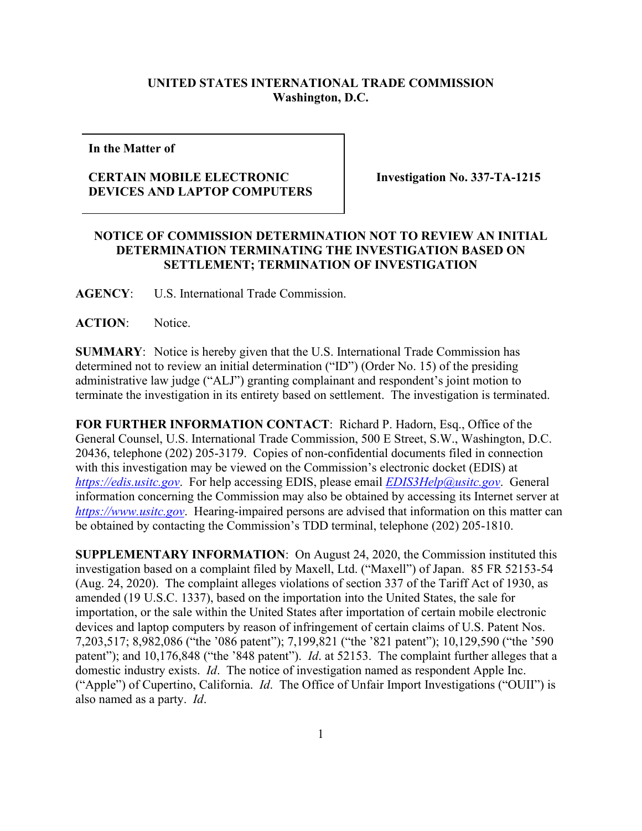## **UNITED STATES INTERNATIONAL TRADE COMMISSION Washington, D.C.**

**In the Matter of**

## **CERTAIN MOBILE ELECTRONIC DEVICES AND LAPTOP COMPUTERS**

**Investigation No. 337-TA-1215**

## **NOTICE OF COMMISSION DETERMINATION NOT TO REVIEW AN INITIAL DETERMINATION TERMINATING THE INVESTIGATION BASED ON SETTLEMENT; TERMINATION OF INVESTIGATION**

**AGENCY**: U.S. International Trade Commission.

**ACTION**: Notice.

**SUMMARY**: Notice is hereby given that the U.S. International Trade Commission has determined not to review an initial determination ("ID") (Order No. 15) of the presiding administrative law judge ("ALJ") granting complainant and respondent's joint motion to terminate the investigation in its entirety based on settlement. The investigation is terminated.

**FOR FURTHER INFORMATION CONTACT**: Richard P. Hadorn, Esq., Office of the General Counsel, U.S. International Trade Commission, 500 E Street, S.W., Washington, D.C. 20436, telephone (202) 205-3179. Copies of non-confidential documents filed in connection with this investigation may be viewed on the Commission's electronic docket (EDIS) at *[https://edis.usitc.gov](https://edis.usitc.gov/)*. For help accessing EDIS, please email *[EDIS3Help@usitc.gov](mailto:EDIS3Help@usitc.gov)*. General information concerning the Commission may also be obtained by accessing its Internet server at *[https://www.usitc.gov](https://www.usitc.gov/)*. Hearing-impaired persons are advised that information on this matter can be obtained by contacting the Commission's TDD terminal, telephone (202) 205-1810.

**SUPPLEMENTARY INFORMATION**: On August 24, 2020, the Commission instituted this investigation based on a complaint filed by Maxell, Ltd. ("Maxell") of Japan. 85 FR 52153-54 (Aug. 24, 2020). The complaint alleges violations of section 337 of the Tariff Act of 1930, as amended (19 U.S.C. 1337), based on the importation into the United States, the sale for importation, or the sale within the United States after importation of certain mobile electronic devices and laptop computers by reason of infringement of certain claims of U.S. Patent Nos. 7,203,517; 8,982,086 ("the '086 patent"); 7,199,821 ("the '821 patent"); 10,129,590 ("the '590 patent"); and 10,176,848 ("the '848 patent"). *Id*. at 52153. The complaint further alleges that a domestic industry exists. *Id*. The notice of investigation named as respondent Apple Inc. ("Apple") of Cupertino, California. *Id*. The Office of Unfair Import Investigations ("OUII") is also named as a party. *Id*.